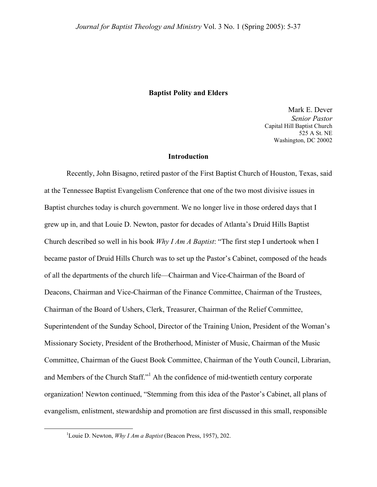### **Baptist Polity and Elders**

Mark E. Dever *Senior Pastor*  Capital Hill Baptist Church 525 A St. NE Washington, DC 20002

## **Introduction**

Recently, John Bisagno, retired pastor of the First Baptist Church of Houston, Texas, said at the Tennessee Baptist Evangelism Conference that one of the two most divisive issues in Baptist churches today is church government. We no longer live in those ordered days that I grew up in, and that Louie D. Newton, pastor for decades of Atlanta's Druid Hills Baptist Church described so well in his book *Why I Am A Baptist*: "The first step I undertook when I became pastor of Druid Hills Church was to set up the Pastor's Cabinet, composed of the heads of all the departments of the church life—Chairman and Vice-Chairman of the Board of Deacons, Chairman and Vice-Chairman of the Finance Committee, Chairman of the Trustees, Chairman of the Board of Ushers, Clerk, Treasurer, Chairman of the Relief Committee, Superintendent of the Sunday School, Director of the Training Union, President of the Woman's Missionary Society, President of the Brotherhood, Minister of Music, Chairman of the Music Committee, Chairman of the Guest Book Committee, Chairman of the Youth Council, Librarian, and Members of the Church Staff."<sup>[1](#page-0-0)</sup> Ah the confidence of mid-twentieth century corporate organization! Newton continued, "Stemming from this idea of the Pastor's Cabinet, all plans of evangelism, enlistment, stewardship and promotion are first discussed in this small, responsible

<span id="page-0-0"></span><sup>&</sup>lt;u>1</u> Louie D. Newton, *Why I Am a Baptist* (Beacon Press, 1957), 202.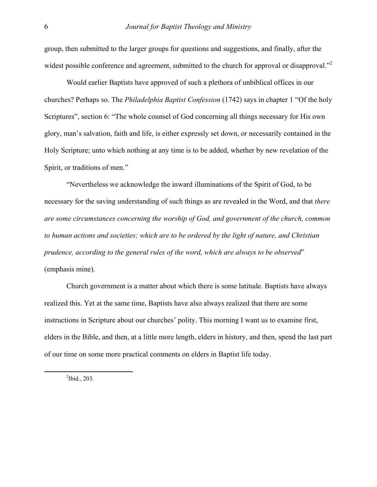group, then submitted to the larger groups for questions and suggestions, and finally, after the widest possible conference and agreement, submitted to the church for approval or disapproval."<sup>2</sup>

 Would earlier Baptists have approved of such a plethora of unbiblical offices in our churches? Perhaps so. The *Philadelphia Baptist Confession* (1742) says in chapter 1 "Of the holy Scriptures", section 6: "The whole counsel of God concerning all things necessary for His own glory, man's salvation, faith and life, is either expressly set down, or necessarily contained in the Holy Scripture; unto which nothing at any time is to be added, whether by new revelation of the Spirit, or traditions of men."

 "Nevertheless we acknowledge the inward illuminations of the Spirit of God, to be necessary for the saving understanding of such things as are revealed in the Word, and that *there are some circumstances concerning the worship of God, and government of the church, common to human actions and societies; which are to be ordered by the light of nature, and Christian prudence, according to the general rules of the word, which are always to be observed*" (emphasis mine).

 Church government is a matter about which there is some latitude. Baptists have always realized this. Yet at the same time, Baptists have also always realized that there are some instructions in Scripture about our churches' polity. This morning I want us to examine first, elders in the Bible, and then, at a little more length, elders in history, and then, spend the last part of our time on some more practical comments on elders in Baptist life today.

<span id="page-1-0"></span> $\frac{1}{2}$  $\mathrm{^2Ibid.}$ , 203.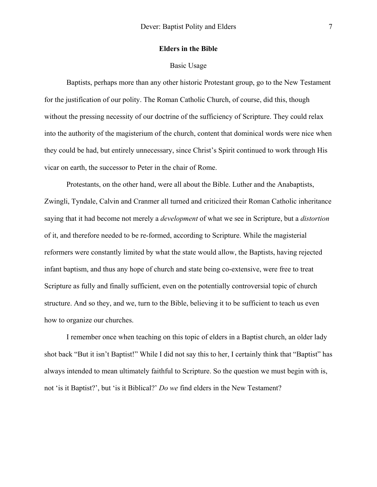### **Elders in the Bible**

### Basic Usage

 Baptists, perhaps more than any other historic Protestant group, go to the New Testament for the justification of our polity. The Roman Catholic Church, of course, did this, though without the pressing necessity of our doctrine of the sufficiency of Scripture. They could relax into the authority of the magisterium of the church, content that dominical words were nice when they could be had, but entirely unnecessary, since Christ's Spirit continued to work through His vicar on earth, the successor to Peter in the chair of Rome.

 Protestants, on the other hand, were all about the Bible. Luther and the Anabaptists, Zwingli, Tyndale, Calvin and Cranmer all turned and criticized their Roman Catholic inheritance saying that it had become not merely a *development* of what we see in Scripture, but a *distortion* of it, and therefore needed to be re-formed, according to Scripture. While the magisterial reformers were constantly limited by what the state would allow, the Baptists, having rejected infant baptism, and thus any hope of church and state being co-extensive, were free to treat Scripture as fully and finally sufficient, even on the potentially controversial topic of church structure. And so they, and we, turn to the Bible, believing it to be sufficient to teach us even how to organize our churches.

 I remember once when teaching on this topic of elders in a Baptist church, an older lady shot back "But it isn't Baptist!" While I did not say this to her, I certainly think that "Baptist" has always intended to mean ultimately faithful to Scripture. So the question we must begin with is, not 'is it Baptist?', but 'is it Biblical?' *Do we* find elders in the New Testament?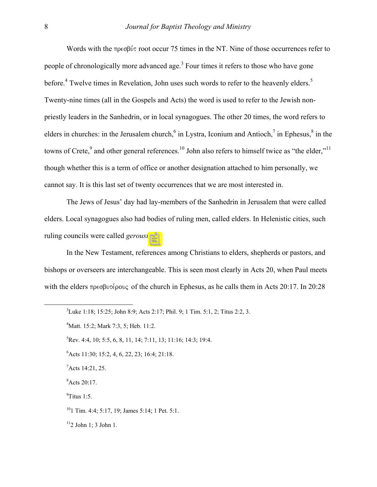Words with the  $\pi \rho \in \beta \mathcal{V}$  root occur 75 times in the NT. Nine of those occurrences refer to people of chronologically more advanced age.<sup>3</sup> Four times it refers to those who have gone before.<sup>[4](#page-3-1)</sup> Twelve times in Revelation, John uses such words to refer to the heavenly elders.<sup>5</sup> Twenty-nine times (all in the Gospels and Acts) the word is used to refer to the Jewish nonpriestly leaders in the Sanhedrin, or in local synagogues. The other 20 times, the word refers to elders [i](#page-3-5)n churches: in the Jerusalem church,  $6$  in Lystra, Iconium and Antioch,  $7$  in Ephesus,  $8$  in the towns of Crete,<sup>[9](#page-3-6)</sup> and other general references.<sup>10</sup> John also refers to himself twice as "the elder,"<sup>[11](#page-3-8)</sup> though whether this is a term of office or another designation attached to him personally, we cannot say. It is this last set of twenty occurrences that we are most interested in.

 The Jews of Jesus' day had lay-members of the Sanhedrin in Jerusalem that were called elders. Local synagogues also had bodies of ruling men, called elders. In Helenistic cities, such ruling councils were called *gerousia'*s.

 In the New Testament, references among Christians to elders, shepherds or pastors, and bishops or overseers are interchangeable. This is seen most clearly in Acts 20, when Paul meets with the elders  $\pi \rho \epsilon \sigma \beta \nu \tau \epsilon \rho \nu \sigma$  of the church in Ephesus, as he calls them in Acts 20:17. In 20:28

 $\frac{1}{3}$ Luke 1:18; 15:25; John 8:9; Acts 2:17; Phil. 9; 1 Tim. 5:1, 2; Titus 2:2, 3.

<span id="page-3-1"></span><span id="page-3-0"></span><sup>4</sup> Matt. 15:2; Mark 7:3, 5; Heb. 11:2.

<span id="page-3-2"></span> ${}^{5}$ Rev. 4:4, 10; 5:5, 6, 8, 11, 14; 7:11, 13; 11:16; 14:3; 19:4.

<span id="page-3-3"></span><sup>6</sup> Acts 11:30; 15:2, 4, 6, 22, 23; 16:4; 21:18.

<span id="page-3-4"></span> $7$ Acts 14:21, 25.

<span id="page-3-5"></span><sup>8</sup> Acts 20:17.

<span id="page-3-6"></span> $\rm{P}$ Titus 1:5.

<span id="page-3-7"></span> $10$ <sup>1</sup> Tim. 4:4: 5:17, 19: James 5:14: 1 Pet. 5:1.

<span id="page-3-8"></span> $11$ <sup>11</sup>2 John 1; 3 John 1.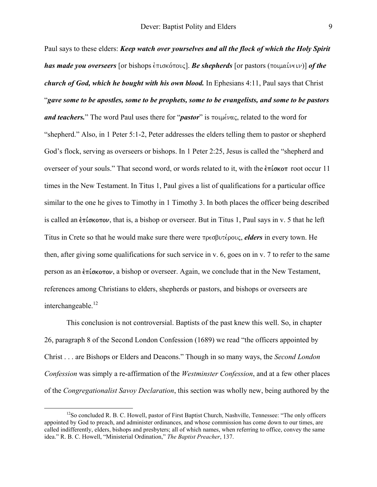Paul says to these elders: *Keep watch over yourselves and all the flock of which the Holy Spirit has made you overseers* [or bishops  $\epsilon \pi \omega$  ( $\epsilon$ ]. *Be shepherds* [or pastors ( $\pi \omega \omega$ )] *of the church of God, which he bought with his own blood.* In Ephesians 4:11, Paul says that Christ "*gave some to be apostles, some to be prophets, some to be evangelists, and some to be pastors and teachers.*" The word Paul uses there for "*pastor*" is ποιμένας, related to the word for "shepherd." Also, in 1 Peter 5:1-2, Peter addresses the elders telling them to pastor or shepherd God's flock, serving as overseers or bishops. In 1 Peter 2:25, Jesus is called the "shepherd and overseer of your souls." That second word, or words related to it, with the  $\epsilon \pi \omega \sigma \pi$  root occur 11 times in the New Testament. In Titus 1, Paul gives a list of qualifications for a particular office similar to the one he gives to Timothy in 1 Timothy 3. In both places the officer being described is called an  $\epsilon \pi \omega$  that is, a bishop or overseer. But in Titus 1, Paul says in v. 5 that he left Titus in Crete so that he would make sure there were πρεσβυτέρους, *elders* in every town. He then, after giving some qualifications for such service in v. 6, goes on in v. 7 to refer to the same person as an  $\epsilon \pi \omega$ , a bishop or overseer. Again, we conclude that in the New Testament, references among Christians to elders, shepherds or pastors, and bishops or overseers are interchangeable. $^{12}$ 

 This conclusion is not controversial. Baptists of the past knew this well. So, in chapter 26, paragraph 8 of the Second London Confession (1689) we read "the officers appointed by Christ . . . are Bishops or Elders and Deacons." Though in so many ways, the *Second London Confession* was simply a re-affirmation of the *Westminster Confession*, and at a few other places of the *Congregationalist Savoy Declaration*, this section was wholly new, being authored by the

<span id="page-4-0"></span> $12$ So concluded R. B. C. Howell, pastor of First Baptist Church, Nashville, Tennessee: "The only officers appointed by God to preach, and administer ordinances, and whose commission has come down to our times, are called indifferently, elders, bishops and presbyters; all of which names, when referring to office, convey the same idea." R. B. C. Howell, "Ministerial Ordination," *The Baptist Preacher*, 137.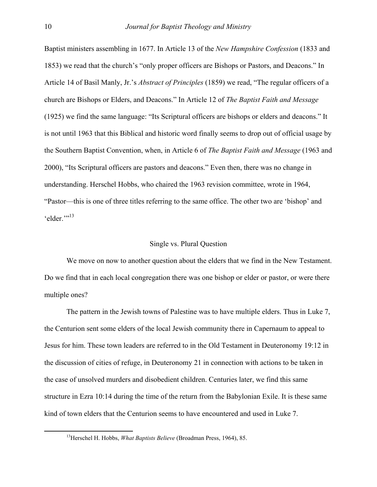Baptist ministers assembling in 1677. In Article 13 of the *New Hampshire Confession* (1833 and 1853) we read that the church's "only proper officers are Bishops or Pastors, and Deacons." In Article 14 of Basil Manly, Jr.'s *Abstract of Principles* (1859) we read, "The regular officers of a church are Bishops or Elders, and Deacons." In Article 12 of *The Baptist Faith and Message* (1925) we find the same language: "Its Scriptural officers are bishops or elders and deacons." It is not until 1963 that this Biblical and historic word finally seems to drop out of official usage by the Southern Baptist Convention, when, in Article 6 of *The Baptist Faith and Message* (1963 and 2000), "Its Scriptural officers are pastors and deacons." Even then, there was no change in understanding. Herschel Hobbs, who chaired the 1963 revision committee, wrote in 1964, "Pastor—this is one of three titles referring to the same office. The other two are 'bishop' and 'elder."<sup>[13](#page-5-0)</sup>

### Single vs. Plural Question

 We move on now to another question about the elders that we find in the New Testament. Do we find that in each local congregation there was one bishop or elder or pastor, or were there multiple ones?

 The pattern in the Jewish towns of Palestine was to have multiple elders. Thus in Luke 7, the Centurion sent some elders of the local Jewish community there in Capernaum to appeal to Jesus for him. These town leaders are referred to in the Old Testament in Deuteronomy 19:12 in the discussion of cities of refuge, in Deuteronomy 21 in connection with actions to be taken in the case of unsolved murders and disobedient children. Centuries later, we find this same structure in Ezra 10:14 during the time of the return from the Babylonian Exile. It is these same kind of town elders that the Centurion seems to have encountered and used in Luke 7.

<span id="page-5-0"></span> <sup>13</sup>Herschel H. Hobbs, *What Baptists Believe* (Broadman Press, 1964), 85.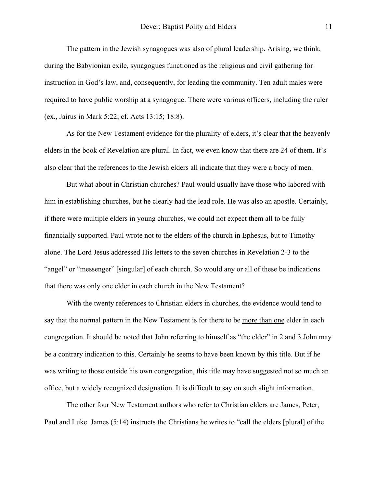The pattern in the Jewish synagogues was also of plural leadership. Arising, we think, during the Babylonian exile, synagogues functioned as the religious and civil gathering for instruction in God's law, and, consequently, for leading the community. Ten adult males were required to have public worship at a synagogue. There were various officers, including the ruler (ex., Jairus in Mark 5:22; cf. Acts 13:15; 18:8).

 As for the New Testament evidence for the plurality of elders, it's clear that the heavenly elders in the book of Revelation are plural. In fact, we even know that there are 24 of them. It's also clear that the references to the Jewish elders all indicate that they were a body of men.

 But what about in Christian churches? Paul would usually have those who labored with him in establishing churches, but he clearly had the lead role. He was also an apostle. Certainly, if there were multiple elders in young churches, we could not expect them all to be fully financially supported. Paul wrote not to the elders of the church in Ephesus, but to Timothy alone. The Lord Jesus addressed His letters to the seven churches in Revelation 2-3 to the "angel" or "messenger" [singular] of each church. So would any or all of these be indications that there was only one elder in each church in the New Testament?

 With the twenty references to Christian elders in churches, the evidence would tend to say that the normal pattern in the New Testament is for there to be more than one elder in each congregation. It should be noted that John referring to himself as "the elder" in 2 and 3 John may be a contrary indication to this. Certainly he seems to have been known by this title. But if he was writing to those outside his own congregation, this title may have suggested not so much an office, but a widely recognized designation. It is difficult to say on such slight information.

 The other four New Testament authors who refer to Christian elders are James, Peter, Paul and Luke. James (5:14) instructs the Christians he writes to "call the elders [plural] of the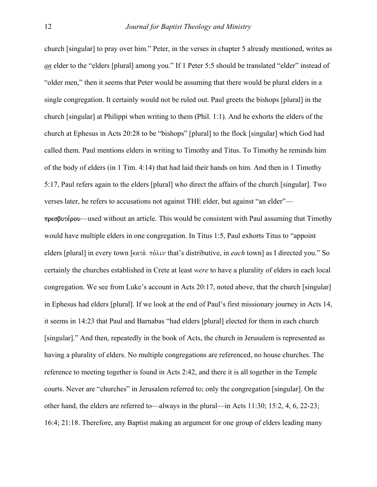church [singular] to pray over him." Peter, in the verses in chapter 5 already mentioned, writes as *an* elder to the "elders [plural] among you." If 1 Peter 5:5 should be translated "elder" instead of "older men," then it seems that Peter would be assuming that there would be plural elders in a single congregation. It certainly would not be ruled out. Paul greets the bishops [plural] in the church [singular] at Philippi when writing to them (Phil. 1:1). And he exhorts the elders of the church at Ephesus in Acts 20:28 to be "bishops" [plural] to the flock [singular] which God had called them. Paul mentions elders in writing to Timothy and Titus. To Timothy he reminds him of the body of elders (in 1 Tim. 4:14) that had laid their hands on him. And then in 1 Timothy 5:17, Paul refers again to the elders [plural] who direct the affairs of the church [singular]. Two verses later, he refers to accusations not against THE elder, but against "an elder"—  $\pi \rho \in \mathcal{B}$  without an article. This would be consistent with Paul assuming that Timothy would have multiple elders in one congregation. In Titus 1:5, Paul exhorts Titus to "appoint elders [plural] in every town  $\kappa \tau \dot{\alpha}$   $\pi \dot{\delta} \lambda \nu$  that's distributive, in *each* town] as I directed you." So certainly the churches established in Crete at least *were* to have a plurality of elders in each local congregation. We see from Luke's account in Acts 20:17, noted above, that the church [singular] in Ephesus had elders [plural]. If we look at the end of Paul's first missionary journey in Acts 14, it seems in 14:23 that Paul and Barnabas "had elders [plural] elected for them in each church [singular]." And then, repeatedly in the book of Acts, the church in Jerusalem is represented as having a plurality of elders. No multiple congregations are referenced, no house churches. The reference to meeting together is found in Acts 2:42, and there it is all together in the Temple courts. Never are "churches" in Jerusalem referred to; only the congregation [singular]. On the other hand, the elders are referred to—always in the plural—in Acts 11:30; 15:2, 4, 6, 22-23;

16:4; 21:18. Therefore, any Baptist making an argument for one group of elders leading many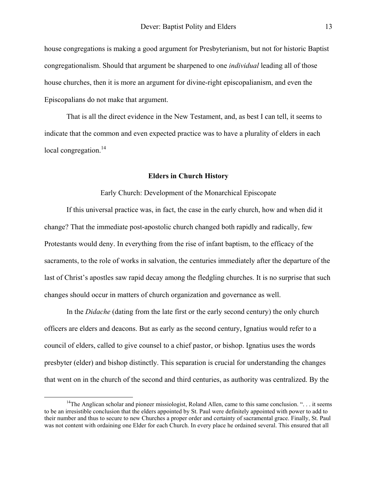<span id="page-8-0"></span>house congregations is making a good argument for Presbyterianism, but not for historic Baptist congregationalism. Should that argument be sharpened to one *individual* leading all of those house churches, then it is more an argument for divine-right episcopalianism, and even the Episcopalians do not make that argument.

 That is all the direct evidence in the New Testament, and, as best I can tell, it seems to indicate that the common and even expected practice was to have a plurality of elders in each local congregation.<sup>14</sup>

### **Elders in Church History**

Early Church: Development of the Monarchical Episcopate

 If this universal practice was, in fact, the case in the early church, how and when did it change? That the immediate post-apostolic church changed both rapidly and radically, few Protestants would deny. In everything from the rise of infant baptism, to the efficacy of the sacraments, to the role of works in salvation, the centuries immediately after the departure of the last of Christ's apostles saw rapid decay among the fledgling churches. It is no surprise that such changes should occur in matters of church organization and governance as well.

 In the *Didache* (dating from the late first or the early second century) the only church officers are elders and deacons. But as early as the second century, Ignatius would refer to a council of elders, called to give counsel to a chief pastor, or bishop. Ignatius uses the words presbyter (elder) and bishop distinctly. This separation is crucial for understanding the changes that went on in the church of the second and third centuries, as authority was centralized. By the

<sup>&</sup>lt;sup>14</sup>The Anglican scholar and pioneer missiologist. Roland Allen, came to this same conclusion. "... it seems to be an irresistible conclusion that the elders appointed by St. Paul were definitely appointed with power to add to their number and thus to secure to new Churches a proper order and certainty of sacramental grace. Finally, St. Paul was not content with ordaining one Elder for each Church. In every place he ordained several. This ensured that all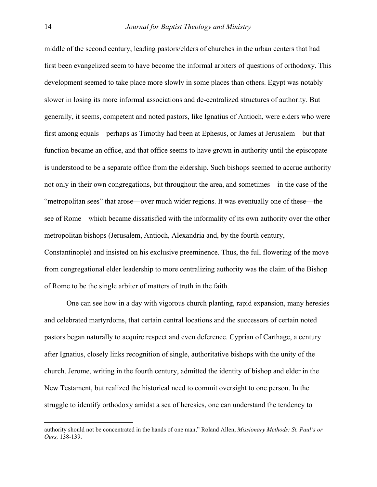middle of the second century, leading pastors/elders of churches in the urban centers that had first been evangelized seem to have become the informal arbiters of questions of orthodoxy. This development seemed to take place more slowly in some places than others. Egypt was notably slower in losing its more informal associations and de-centralized structures of authority. But generally, it seems, competent and noted pastors, like Ignatius of Antioch, were elders who were first among equals—perhaps as Timothy had been at Ephesus, or James at Jerusalem—but that function became an office, and that office seems to have grown in authority until the episcopate is understood to be a separate office from the eldership. Such bishops seemed to accrue authority not only in their own congregations, but throughout the area, and sometimes—in the case of the "metropolitan sees" that arose—over much wider regions. It was eventually one of these—the see of Rome—which became dissatisfied with the informality of its own authority over the other metropolitan bishops (Jerusalem, Antioch, Alexandria and, by the fourth century, Constantinople) and insisted on his exclusive preeminence. Thus, the full flowering of the move from congregational elder leadership to more centralizing authority was the claim of the Bishop of Rome to be the single arbiter of matters of truth in the faith.

 One can see how in a day with vigorous church planting, rapid expansion, many heresies and celebrated martyrdoms, that certain central locations and the successors of certain noted pastors began naturally to acquire respect and even deference. Cyprian of Carthage, a century after Ignatius, closely links recognition of single, authoritative bishops with the unity of the church. Jerome, writing in the fourth century, admitted the identity of bishop and elder in the New Testament, but realized the historical need to commit oversight to one person. In the struggle to identify orthodoxy amidst a sea of heresies, one can understand the tendency to

 $\overline{a}$ 

authority should not be concentrated in the hands of one man," Roland Allen, *Missionary Methods: St. Paul's or Ours,* 138-139.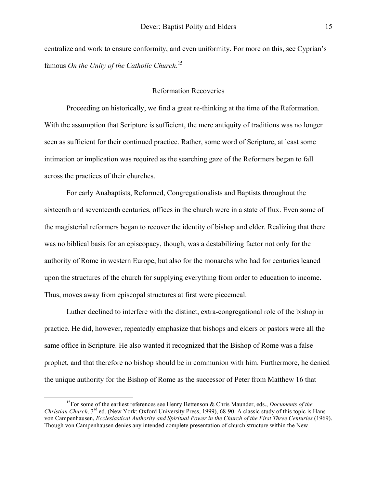<span id="page-10-0"></span>centralize and work to ensure conformity, and even uniformity. For more on this, see Cyprian's famous *On the Unity of the Catholic Church*. [15](#page-10-0)

# Reformation Recoveries

 Proceeding on historically, we find a great re-thinking at the time of the Reformation. With the assumption that Scripture is sufficient, the mere antiquity of traditions was no longer seen as sufficient for their continued practice. Rather, some word of Scripture, at least some intimation or implication was required as the searching gaze of the Reformers began to fall across the practices of their churches.

 For early Anabaptists, Reformed, Congregationalists and Baptists throughout the sixteenth and seventeenth centuries, offices in the church were in a state of flux. Even some of the magisterial reformers began to recover the identity of bishop and elder. Realizing that there was no biblical basis for an episcopacy, though, was a destabilizing factor not only for the authority of Rome in western Europe, but also for the monarchs who had for centuries leaned upon the structures of the church for supplying everything from order to education to income. Thus, moves away from episcopal structures at first were piecemeal.

 Luther declined to interfere with the distinct, extra-congregational role of the bishop in practice. He did, however, repeatedly emphasize that bishops and elders or pastors were all the same office in Scripture. He also wanted it recognized that the Bishop of Rome was a false prophet, and that therefore no bishop should be in communion with him. Furthermore, he denied the unique authority for the Bishop of Rome as the successor of Peter from Matthew 16 that

 <sup>15</sup>For some of the earliest references see Henry Bettenson & Chris Maunder, eds., *Documents of the Christian Church,* 3<sup>rd</sup> ed. (New York: Oxford University Press, 1999), 68-90. A classic study of this topic is Hans von Campenhausen, *Ecclesiastical Authority and Spiritual Power in the Church of the First Three Centuries* (1969). Though von Campenhausen denies any intended complete presentation of church structure within the New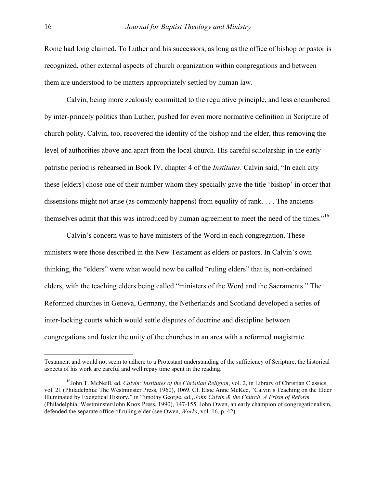Rome had long claimed. To Luther and his successors, as long as the office of bishop or pastor is recognized, other external aspects of church organization within congregations and between them are understood to be matters appropriately settled by human law.

 Calvin, being more zealously committed to the regulative principle, and less encumbered by inter-princely politics than Luther, pushed for even more normative definition in Scripture of church polity. Calvin, too, recovered the identity of the bishop and the elder, thus removing the level of authorities above and apart from the local church. His careful scholarship in the early patristic period is rehearsed in Book IV, chapter 4 of the *Institutes*. Calvin said, "In each city these [elders] chose one of their number whom they specially gave the title 'bishop' in order that dissensions might not arise (as commonly happens) from equality of rank. . . . The ancients themselves admit that this was introduced by human agreement to meet the need of the times."[16](#page-11-0) 

 Calvin's concern was to have ministers of the Word in each congregation. These ministers were those described in the New Testament as elders or pastors. In Calvin's own thinking, the "elders" were what would now be called "ruling elders" that is, non-ordained elders, with the teaching elders being called "ministers of the Word and the Sacraments." The Reformed churches in Geneva, Germany, the Netherlands and Scotland developed a series of inter-locking courts which would settle disputes of doctrine and discipline between congregations and foster the unity of the churches in an area with a reformed magistrate.

 $\overline{a}$ 

Testament and would not seem to adhere to a Protestant understanding of the sufficiency of Scripture, the historical aspects of his work are careful and well repay time spent in the reading.

<span id="page-11-0"></span><sup>&</sup>lt;sup>16</sup>John T. McNeill, ed. *Calvin: Institutes of the Christian Religion*, vol. 2, in Library of Christian Classics, vol. 21 (Philadelphia: The Westminster Press, 1960), 1069. Cf. Elsie Anne McKee, "Calvin's Teaching on the Elder Illuminated by Exegetical History," in Timothy George, ed., *John Calvin & the Church*: *A Prism of Reform*  (Philadelphia: Westminster/John Knox Press, 1990), 147-155. John Owen, an early champion of congregationalism, defended the separate office of ruling elder (see Owen, *Works*, vol. 16, p. 42).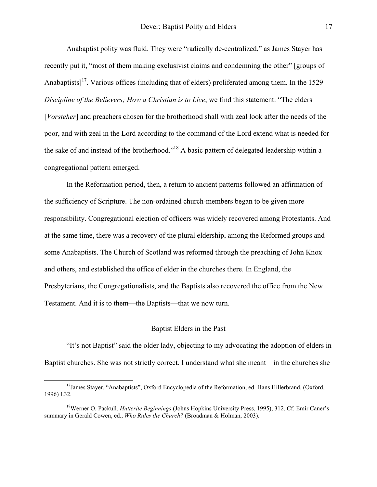Anabaptist polity was fluid. They were "radically de-centralized," as James Stayer has recently put it, "most of them making exclusivist claims and condemning the other" [groups of Anabaptists]<sup>17</sup>. Various offices (including that of elders) proliferated among them. In the 1529 *Discipline of the Believers; How a Christian is to Live*, we find this statement: "The elders [*Vorsteher*] and preachers chosen for the brotherhood shall with zeal look after the needs of the poor, and with zeal in the Lord according to the command of the Lord extend what is needed for the sake of and instead of the brotherhood."[18](#page-12-1) A basic pattern of delegated leadership within a congregational pattern emerged.

 In the Reformation period, then, a return to ancient patterns followed an affirmation of the sufficiency of Scripture. The non-ordained church-members began to be given more responsibility. Congregational election of officers was widely recovered among Protestants. And at the same time, there was a recovery of the plural eldership, among the Reformed groups and some Anabaptists. The Church of Scotland was reformed through the preaching of John Knox and others, and established the office of elder in the churches there. In England, the Presbyterians, the Congregationalists, and the Baptists also recovered the office from the New Testament. And it is to them—the Baptists—that we now turn.

# Baptist Elders in the Past

 "It's not Baptist" said the older lady, objecting to my advocating the adoption of elders in Baptist churches. She was not strictly correct. I understand what she meant—in the churches she

<span id="page-12-0"></span><sup>&</sup>lt;sup>17</sup> James Stayer, "Anabaptists", Oxford Encyclopedia of the Reformation, ed. Hans Hillerbrand, (Oxford, 1996) I.32.

<span id="page-12-1"></span><sup>18</sup>Werner O. Packull, *Hutterite Beginnings* (Johns Hopkins University Press, 1995), 312. Cf. Emir Caner's summary in Gerald Cowen, ed., *Who Rules the Church?* (Broadman & Holman, 2003).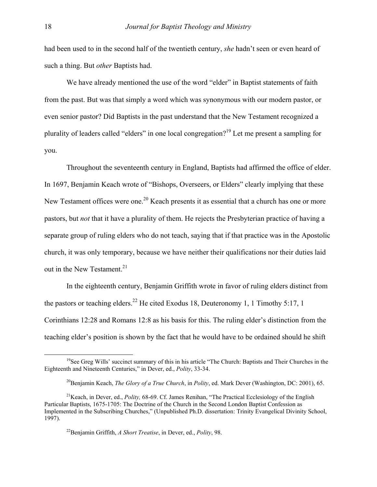had been used to in the second half of the twentieth century, *she* hadn't seen or even heard of such a thing. But *other* Baptists had.

We have already mentioned the use of the word "elder" in Baptist statements of faith from the past. But was that simply a word which was synonymous with our modern pastor, or even senior pastor? Did Baptists in the past understand that the New Testament recognized a plurality of leaders called "elders" in one local congregation?[19](#page-13-0) Let me present a sampling for you.

 Throughout the seventeenth century in England, Baptists had affirmed the office of elder. In 1697, Benjamin Keach wrote of "Bishops, Overseers, or Elders" clearly implying that these New Testament offices were one.<sup>20</sup> Keach presents it as essential that a church has one or more pastors, but *not* that it have a plurality of them. He rejects the Presbyterian practice of having a separate group of ruling elders who do not teach, saying that if that practice was in the Apostolic church, it was only temporary, because we have neither their qualifications nor their duties laid out in the New Testament.<sup>21</sup>

 In the eighteenth century, Benjamin Griffith wrote in favor of ruling elders distinct from the pastors or teaching elders.<sup>22</sup> He cited Exodus 18, Deuteronomy 1, 1 Timothy 5:17, 1 Corinthians 12:28 and Romans 12:8 as his basis for this. The ruling elder's distinction from the teaching elder's position is shown by the fact that he would have to be ordained should he shift

 $<sup>19</sup>$ See Greg Wills' succinct summary of this in his article "The Church: Baptists and Their Churches in the</sup> Eighteenth and Nineteenth Centuries," in Dever, ed., *Polity*, 33-34.

<span id="page-13-2"></span><span id="page-13-1"></span><span id="page-13-0"></span><sup>&</sup>lt;sup>20</sup>Benjamin Keach, *The Glory of a True Church*, in *Polity*, ed. Mark Dever (Washington, DC: 2001), 65.

<sup>&</sup>lt;sup>21</sup>Keach, in Dever, ed., *Polity,* 68-69. Cf. James Renihan, "The Practical Ecclesiology of the English Particular Baptists, 1675-1705: The Doctrine of the Church in the Second London Baptist Confession as Implemented in the Subscribing Churches," (Unpublished Ph.D. dissertation: Trinity Evangelical Divinity School, 1997).

<span id="page-13-3"></span><sup>22</sup>Benjamin Griffith, *A Short Treatise*, in Dever, ed., *Polity*, 98.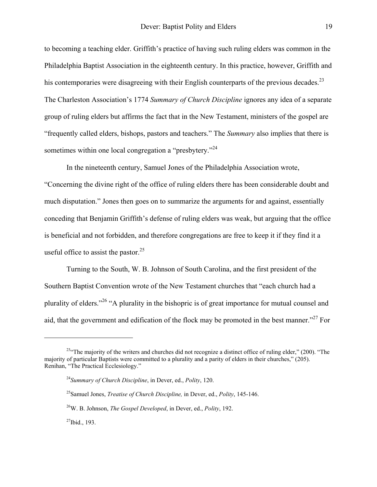to becoming a teaching elder. Griffith's practice of having such ruling elders was common in the Philadelphia Baptist Association in the eighteenth century. In this practice, however, Griffith and his contemporaries were disagreeing with their English counterparts of the previous decades.<sup>[23](#page-14-0)</sup> The Charleston Association's 1774 *Summary of Church Discipline* ignores any idea of a separate group of ruling elders but affirms the fact that in the New Testament, ministers of the gospel are "frequently called elders, bishops, pastors and teachers." The *Summary* also implies that there is sometimes within one local congregation a "presbytery."<sup>[24](#page-14-1)</sup>

 In the nineteenth century, Samuel Jones of the Philadelphia Association wrote, "Concerning the divine right of the office of ruling elders there has been considerable doubt and much disputation." Jones then goes on to summarize the arguments for and against, essentially conceding that Benjamin Griffith's defense of ruling elders was weak, but arguing that the office is beneficial and not forbidden, and therefore congregations are free to keep it if they find it a useful office to assist the pastor. $25$ 

 Turning to the South, W. B. Johnson of South Carolina, and the first president of the Southern Baptist Convention wrote of the New Testament churches that "each church had a plurality of elders."[26 "](#page-14-3)A plurality in the bishopric is of great importance for mutual counsel and aid, that the government and edification of the flock may be promoted in the best manner."<sup>27</sup> For

 $\overline{a}$ 

<span id="page-14-0"></span><sup>&</sup>lt;sup>23"</sup>The majority of the writers and churches did not recognize a distinct office of ruling elder," (200). "The majority of particular Baptists were committed to a plurality and a parity of elders in their churches," (205). Renihan, "The Practical Ecclesiology."

<span id="page-14-1"></span><sup>24</sup>*Summary of Church Discipline*, in Dever, ed., *Polity*, 120.

<span id="page-14-2"></span><sup>25</sup>Samuel Jones, *Treatise of Church Discipline,* in Dever, ed., *Polity*, 145-146.

<span id="page-14-3"></span><sup>26</sup>W. B. Johnson, *The Gospel Developed*, in Dever, ed., *Polity*, 192.

<span id="page-14-4"></span> $^{27}$ Ibid., 193.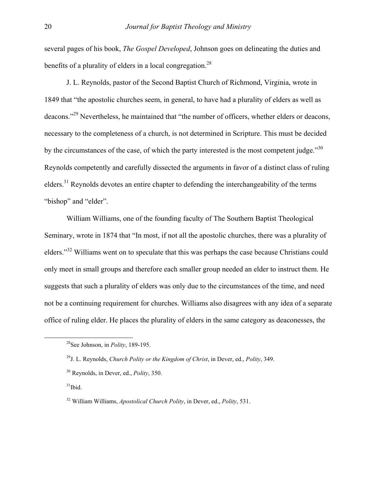several pages of his book, *The Gospel Developed*, Johnson goes on delineating the duties and benefits of a plurality of elders in a local congregation.<sup>[28](#page-15-0)</sup>

 J. L. Reynolds, pastor of the Second Baptist Church of Richmond, Virginia, wrote in 1849 that "the apostolic churches seem, in general, to have had a plurality of elders as well as deacons."[29](#page-15-1) Nevertheless, he maintained that "the number of officers, whether elders or deacons, necessary to the completeness of a church, is not determined in Scripture. This must be decided by the circumstances of the case, of which the party interested is the most competent judge. $130$  $130$ Reynolds competently and carefully dissected the arguments in favor of a distinct class of ruling elders.<sup>31</sup> Reynolds devotes an entire chapter to defending the interchangeability of the terms "bishop" and "elder".

 William Williams, one of the founding faculty of The Southern Baptist Theological Seminary, wrote in 1874 that "In most, if not all the apostolic churches, there was a plurality of elders."[32](#page-15-4) Williams went on to speculate that this was perhaps the case because Christians could only meet in small groups and therefore each smaller group needed an elder to instruct them. He suggests that such a plurality of elders was only due to the circumstances of the time, and need not be a continuing requirement for churches. Williams also disagrees with any idea of a separate office of ruling elder. He places the plurality of elders in the same category as deaconesses, the

<span id="page-15-3"></span> $31$ Ibid.

<span id="page-15-0"></span> <sup>28</sup>See Johnson, in *Polity*, 189-195.

<span id="page-15-1"></span><sup>29</sup>J. L. Reynolds, *Church Polity or the Kingdom of Christ*, in Dever, ed., *Polity*, 349.

<span id="page-15-2"></span><sup>30</sup> Reynolds, in Dever, ed., *Polity*, 350.

<span id="page-15-4"></span><sup>32</sup> William Williams, *Apostolical Church Polity*, in Dever, ed., *Polity*, 531.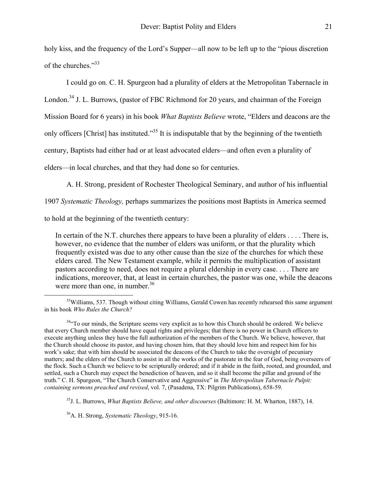holy kiss, and the frequency of the Lord's Supper—all now to be left up to the "pious discretion of the churches."[33](#page-16-0)

I could go on. C. H. Spurgeon had a plurality of elders at the Metropolitan Tabernacle in

London.<sup>34</sup> J. L. Burrows, (pastor of FBC Richmond for 20 years, and chairman of the Foreign

Mission Board for 6 years) in his book *What Baptists Believe* wrote, "Elders and deacons are the

only officers [Christ] has instituted."[35](#page-16-2) It is indisputable that by the beginning of the twentieth

century, Baptists had either had or at least advocated elders—and often even a plurality of

elders—in local churches, and that they had done so for centuries.

A. H. Strong, president of Rochester Theological Seminary, and author of his influential

1907 *Systematic Theology,* perhaps summarizes the positions most Baptists in America seemed

to hold at the beginning of the twentieth century:

In certain of the N.T. churches there appears to have been a plurality of elders . . . . There is, however, no evidence that the number of elders was uniform, or that the plurality which frequently existed was due to any other cause than the size of the churches for which these elders cared. The New Testament example, while it permits the multiplication of assistant pastors according to need, does not require a plural eldership in every case. . . . There are indications, moreover, that, at least in certain churches, the pastor was one, while the deacons were more than one, in number. $36$ 

<span id="page-16-2"></span>35J. L. Burrows, *What Baptists Believe, and other discourses* (Baltimore: H. M. Wharton, 1887), 14.

<span id="page-16-3"></span>36A. H. Strong, *Systematic Theology*, 915-16.

<span id="page-16-0"></span><sup>&</sup>lt;sup>33</sup>Williams, 537. Though without citing Williams, Gerald Cowen has recently rehearsed this same argument in his book *Who Rules the Church?* 

<span id="page-16-1"></span><sup>&</sup>lt;sup>34</sup><sup>44</sup> To our minds, the Scripture seems very explicit as to how this Church should be ordered. We believe that every Church member should have equal rights and privileges; that there is no power in Church officers to execute anything unless they have the full authorization of the members of the Church. We believe, however, that the Church should choose its pastor, and having chosen him, that they should love him and respect him for his work's sake; that with him should be associated the deacons of the Church to take the oversight of pecuniary matters; and the elders of the Church to assist in all the works of the pastorate in the fear of God, being overseers of the flock. Such a Church we believe to be scripturally ordered; and if it abide in the faith, rooted, and grounded, and settled, such a Church may expect the benediction of heaven, and so it shall become the pillar and ground of the truth." C. H. Spurgeon, "The Church Conservative and Aggressive" in *The Metropolitan Tabernacle Pulpit: containing sermons preached and revised*, vol. 7, (Pasadena, TX: Pilgrim Publications), 658-59.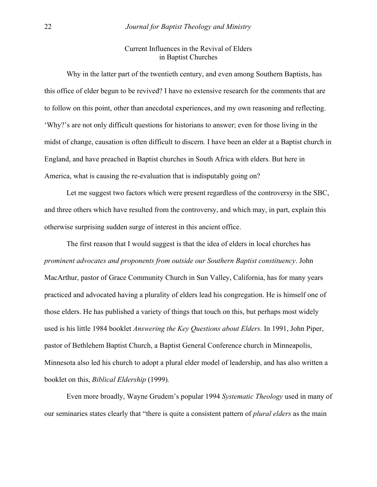# Current Influences in the Revival of Elders in Baptist Churches

 Why in the latter part of the twentieth century, and even among Southern Baptists, has this office of elder begun to be revived? I have no extensive research for the comments that are to follow on this point, other than anecdotal experiences, and my own reasoning and reflecting. 'Why?'s are not only difficult questions for historians to answer; even for those living in the midst of change, causation is often difficult to discern. I have been an elder at a Baptist church in England, and have preached in Baptist churches in South Africa with elders. But here in America, what is causing the re-evaluation that is indisputably going on?

 Let me suggest two factors which were present regardless of the controversy in the SBC, and three others which have resulted from the controversy, and which may, in part, explain this otherwise surprising sudden surge of interest in this ancient office.

 The first reason that I would suggest is that the idea of elders in local churches has *prominent advocates and proponents from outside our Southern Baptist constituency*. John MacArthur, pastor of Grace Community Church in Sun Valley, California, has for many years practiced and advocated having a plurality of elders lead his congregation. He is himself one of those elders. He has published a variety of things that touch on this, but perhaps most widely used is his little 1984 booklet *Answering the Key Questions about Elders.* In 1991, John Piper, pastor of Bethlehem Baptist Church, a Baptist General Conference church in Minneapolis, Minnesota also led his church to adopt a plural elder model of leadership, and has also written a booklet on this, *Biblical Eldership* (1999)*.*

 Even more broadly, Wayne Grudem's popular 1994 *Systematic Theology* used in many of our seminaries states clearly that "there is quite a consistent pattern of *plural elders* as the main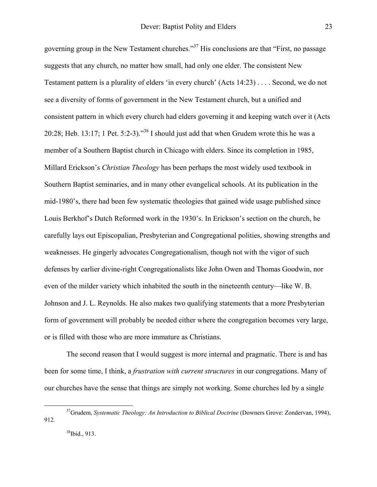governing group in the New Testament churches.["37](#page-18-0) His conclusions are that "First, no passage suggests that any church, no matter how small, had only one elder. The consistent New Testament pattern is a plurality of elders 'in every church' (Acts 14:23) . . . . Second, we do not see a diversity of forms of government in the New Testament church, but a unified and consistent pattern in which every church had elders governing it and keeping watch over it (Acts 20:28; Heb. 13:17; 1 Pet. 5:2-3)."<sup>38</sup> I should just add that when Grudem wrote this he was a member of a Southern Baptist church in Chicago with elders. Since its completion in 1985, Millard Erickson's *Christian Theology* has been perhaps the most widely used textbook in Southern Baptist seminaries, and in many other evangelical schools. At its publication in the mid-1980's, there had been few systematic theologies that gained wide usage published since Louis Berkhof's Dutch Reformed work in the 1930's. In Erickson's section on the church, he carefully lays out Episcopalian, Presbyterian and Congregational polities, showing strengths and weaknesses. He gingerly advocates Congregationalism, though not with the vigor of such defenses by earlier divine-right Congregationalists like John Owen and Thomas Goodwin, nor even of the milder variety which inhabited the south in the nineteenth century—like W. B. Johnson and J. L. Reynolds. He also makes two qualifying statements that a more Presbyterian form of government will probably be needed either where the congregation becomes very large, or is filled with those who are more immature as Christians.

 The second reason that I would suggest is more internal and pragmatic. There is and has been for some time, I think, a *frustration with current structures* in our congregations. Many of our churches have the sense that things are simply not working. Some churches led by a single

 <sup>37</sup>Grudem, *Systematic Theology: An Introduction to Biblical Doctrine* (Downers Grove: Zondervan, 1994), 912.

<span id="page-18-1"></span><span id="page-18-0"></span><sup>38</sup>Ibid., 913.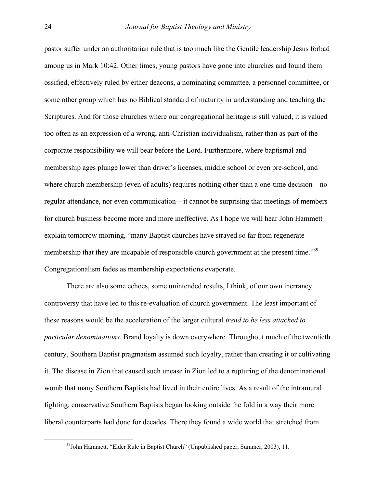pastor suffer under an authoritarian rule that is too much like the Gentile leadership Jesus forbad among us in Mark 10:42. Other times, young pastors have gone into churches and found them ossified, effectively ruled by either deacons, a nominating committee, a personnel committee, or some other group which has no Biblical standard of maturity in understanding and teaching the Scriptures. And for those churches where our congregational heritage is still valued, it is valued too often as an expression of a wrong, anti-Christian individualism, rather than as part of the corporate responsibility we will bear before the Lord. Furthermore, where baptismal and membership ages plunge lower than driver's licenses, middle school or even pre-school, and where church membership (even of adults) requires nothing other than a one-time decision—no regular attendance, nor even communication—it cannot be surprising that meetings of members for church business become more and more ineffective. As I hope we will hear John Hammett explain tomorrow morning, "many Baptist churches have strayed so far from regenerate membership that they are incapable of responsible church government at the present time."<sup>39</sup> Congregationalism fades as membership expectations evaporate.

 There are also some echoes, some unintended results, I think, of our own inerrancy controversy that have led to this re-evaluation of church government. The least important of these reasons would be the acceleration of the larger cultural *trend to be less attached to particular denominations*. Brand loyalty is down everywhere. Throughout much of the twentieth century, Southern Baptist pragmatism assumed such loyalty, rather than creating it or cultivating it. The disease in Zion that caused such unease in Zion led to a rupturing of the denominational womb that many Southern Baptists had lived in their entire lives. As a result of the intramural fighting, conservative Southern Baptists began looking outside the fold in a way their more liberal counterparts had done for decades. There they found a wide world that stretched from

<span id="page-19-0"></span><sup>&</sup>lt;sup>39</sup>John Hammett, "Elder Rule in Baptist Church" (Unpublished paper, Summer, 2003), 11.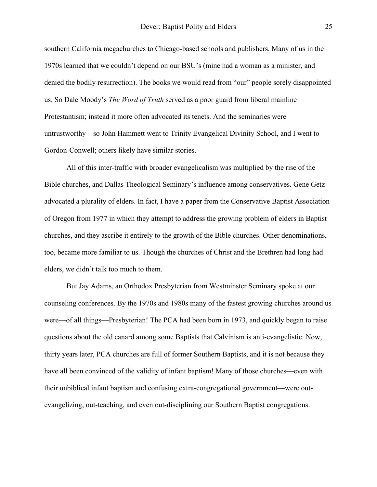southern California megachurches to Chicago-based schools and publishers. Many of us in the 1970s learned that we couldn't depend on our BSU's (mine had a woman as a minister, and denied the bodily resurrection). The books we would read from "our" people sorely disappointed us. So Dale Moody's *The Word of Truth* served as a poor guard from liberal mainline Protestantism; instead it more often advocated its tenets. And the seminaries were untrustworthy—so John Hammett went to Trinity Evangelical Divinity School, and I went to Gordon-Conwell; others likely have similar stories.

 All of this inter-traffic with broader evangelicalism was multiplied by the rise of the Bible churches, and Dallas Theological Seminary's influence among conservatives. Gene Getz advocated a plurality of elders. In fact, I have a paper from the Conservative Baptist Association of Oregon from 1977 in which they attempt to address the growing problem of elders in Baptist churches, and they ascribe it entirely to the growth of the Bible churches. Other denominations, too, became more familiar to us. Though the churches of Christ and the Brethren had long had elders, we didn't talk too much to them.

 But Jay Adams, an Orthodox Presbyterian from Westminster Seminary spoke at our counseling conferences. By the 1970s and 1980s many of the fastest growing churches around us were—of all things—Presbyterian! The PCA had been born in 1973, and quickly began to raise questions about the old canard among some Baptists that Calvinism is anti-evangelistic. Now, thirty years later, PCA churches are full of former Southern Baptists, and it is not because they have all been convinced of the validity of infant baptism! Many of those churches—even with their unbiblical infant baptism and confusing extra-congregational government—were outevangelizing, out-teaching, and even out-disciplining our Southern Baptist congregations.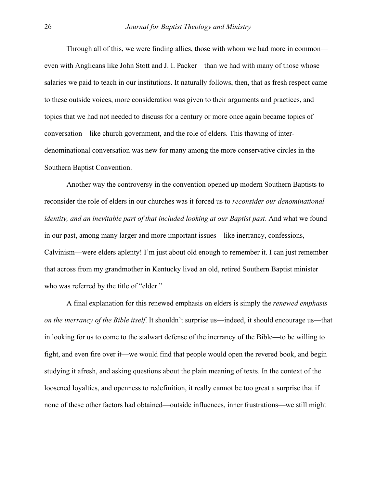Through all of this, we were finding allies, those with whom we had more in common even with Anglicans like John Stott and J. I. Packer—than we had with many of those whose salaries we paid to teach in our institutions. It naturally follows, then, that as fresh respect came to these outside voices, more consideration was given to their arguments and practices, and topics that we had not needed to discuss for a century or more once again became topics of conversation—like church government, and the role of elders. This thawing of interdenominational conversation was new for many among the more conservative circles in the Southern Baptist Convention.

 Another way the controversy in the convention opened up modern Southern Baptists to reconsider the role of elders in our churches was it forced us to *reconsider our denominational identity, and an inevitable part of that included looking at our Baptist past*. And what we found in our past, among many larger and more important issues—like inerrancy, confessions, Calvinism—were elders aplenty! I'm just about old enough to remember it. I can just remember that across from my grandmother in Kentucky lived an old, retired Southern Baptist minister who was referred by the title of "elder."

 A final explanation for this renewed emphasis on elders is simply the *renewed emphasis on the inerrancy of the Bible itself*. It shouldn't surprise us—indeed, it should encourage us—that in looking for us to come to the stalwart defense of the inerrancy of the Bible—to be willing to fight, and even fire over it—we would find that people would open the revered book, and begin studying it afresh, and asking questions about the plain meaning of texts. In the context of the loosened loyalties, and openness to redefinition, it really cannot be too great a surprise that if none of these other factors had obtained—outside influences, inner frustrations—we still might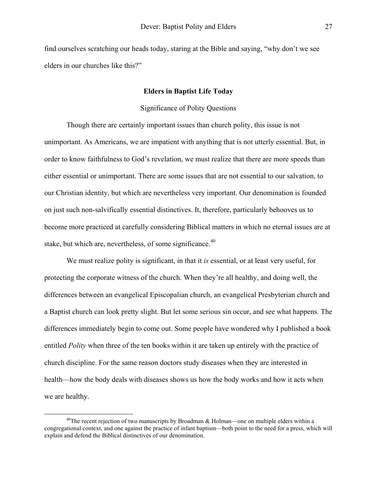find ourselves scratching our heads today, staring at the Bible and saying, "why don't we see elders in our churches like this?"

# **Elders in Baptist Life Today**

# Significance of Polity Questions

 Though there are certainly important issues than church polity, this issue is not unimportant. As Americans, we are impatient with anything that is not utterly essential. But, in order to know faithfulness to God's revelation, we must realize that there are more speeds than either essential or unimportant. There are some issues that are not essential to our salvation, to our Christian identity, but which are nevertheless very important. Our denomination is founded on just such non-salvifically essential distinctives. It, therefore, particularly behooves us to become more practiced at carefully considering Biblical matters in which no eternal issues are at stake, but which are, nevertheless, of some significance.<sup>[40](#page-22-0)</sup>

 We must realize polity is significant, in that it *is* essential, or at least very useful, for protecting the corporate witness of the church. When they're all healthy, and doing well, the differences between an evangelical Episcopalian church, an evangelical Presbyterian church and a Baptist church can look pretty slight. But let some serious sin occur, and see what happens. The differences immediately begin to come out. Some people have wondered why I published a book entitled *Polity* when three of the ten books within it are taken up entirely with the practice of church discipline. For the same reason doctors study diseases when they are interested in health—how the body deals with diseases shows us how the body works and how it acts when we are healthy.

<span id="page-22-0"></span><sup>&</sup>lt;sup>40</sup>The recent rejection of two manuscripts by Broadman & Holman—one on multiple elders within a congregational context, and one against the practice of infant baptism—both point to the need for a press, which will explain and defend the Biblical distinctives of our denomination.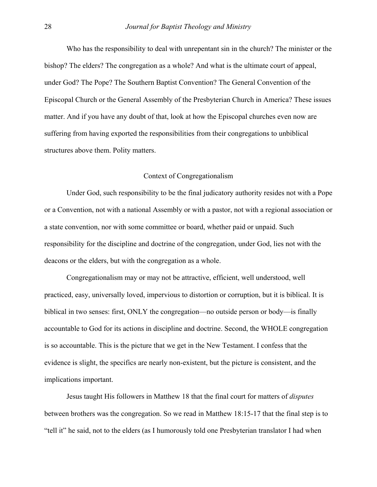Who has the responsibility to deal with unrepentant sin in the church? The minister or the bishop? The elders? The congregation as a whole? And what is the ultimate court of appeal, under God? The Pope? The Southern Baptist Convention? The General Convention of the Episcopal Church or the General Assembly of the Presbyterian Church in America? These issues matter. And if you have any doubt of that, look at how the Episcopal churches even now are suffering from having exported the responsibilities from their congregations to unbiblical structures above them. Polity matters.

# Context of Congregationalism

 Under God, such responsibility to be the final judicatory authority resides not with a Pope or a Convention, not with a national Assembly or with a pastor, not with a regional association or a state convention, nor with some committee or board, whether paid or unpaid. Such responsibility for the discipline and doctrine of the congregation, under God, lies not with the deacons or the elders, but with the congregation as a whole.

 Congregationalism may or may not be attractive, efficient, well understood, well practiced, easy, universally loved, impervious to distortion or corruption, but it is biblical. It is biblical in two senses: first, ONLY the congregation—no outside person or body—is finally accountable to God for its actions in discipline and doctrine. Second, the WHOLE congregation is so accountable. This is the picture that we get in the New Testament. I confess that the evidence is slight, the specifics are nearly non-existent, but the picture is consistent, and the implications important.

 Jesus taught His followers in Matthew 18 that the final court for matters of *disputes* between brothers was the congregation. So we read in Matthew 18:15-17 that the final step is to "tell it" he said, not to the elders (as I humorously told one Presbyterian translator I had when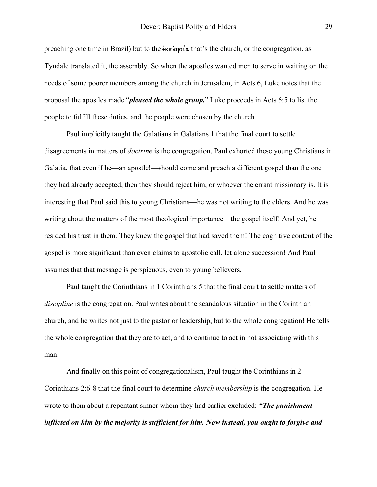preaching one time in Brazil) but to the  $\epsilon_{\text{KK}}$  and  $\alpha$  that's the church, or the congregation, as Tyndale translated it, the assembly. So when the apostles wanted men to serve in waiting on the needs of some poorer members among the church in Jerusalem, in Acts 6, Luke notes that the proposal the apostles made "*pleased the whole group.*" Luke proceeds in Acts 6:5 to list the people to fulfill these duties, and the people were chosen by the church.

 Paul implicitly taught the Galatians in Galatians 1 that the final court to settle disagreements in matters of *doctrine* is the congregation. Paul exhorted these young Christians in Galatia, that even if he—an apostle!—should come and preach a different gospel than the one they had already accepted, then they should reject him, or whoever the errant missionary is. It is interesting that Paul said this to young Christians—he was not writing to the elders. And he was writing about the matters of the most theological importance—the gospel itself! And yet, he resided his trust in them. They knew the gospel that had saved them! The cognitive content of the gospel is more significant than even claims to apostolic call, let alone succession! And Paul assumes that that message is perspicuous, even to young believers.

 Paul taught the Corinthians in 1 Corinthians 5 that the final court to settle matters of *discipline* is the congregation. Paul writes about the scandalous situation in the Corinthian church, and he writes not just to the pastor or leadership, but to the whole congregation! He tells the whole congregation that they are to act, and to continue to act in not associating with this man.

 And finally on this point of congregationalism, Paul taught the Corinthians in 2 Corinthians 2:6-8 that the final court to determine *church membership* is the congregation. He wrote to them about a repentant sinner whom they had earlier excluded: *"The punishment inflicted on him by the majority is sufficient for him. Now instead, you ought to forgive and*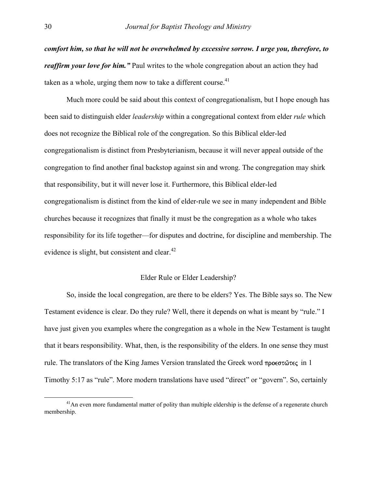*comfort him, so that he will not be overwhelmed by excessive sorrow. I urge you, therefore, to reaffirm your love for him.*" Paul writes to the whole congregation about an action they had taken as a whole, urging them now to take a different course.<sup>41</sup>

 Much more could be said about this context of congregationalism, but I hope enough has been said to distinguish elder *leadership* within a congregational context from elder *rule* which does not recognize the Biblical role of the congregation. So this Biblical elder-led congregationalism is distinct from Presbyterianism, because it will never appeal outside of the congregation to find another final backstop against sin and wrong. The congregation may shirk that responsibility, but it will never lose it. Furthermore, this Biblical elder-led congregationalism is distinct from the kind of elder-rule we see in many independent and Bible churches because it recognizes that finally it must be the congregation as a whole who takes responsibility for its life together—for disputes and doctrine, for discipline and membership. The evidence is slight, but consistent and clear. $42$ 

# Elder Rule or Elder Leadership?

 So, inside the local congregation, are there to be elders? Yes. The Bible says so. The New Testament evidence is clear. Do they rule? Well, there it depends on what is meant by "rule." I have just given you examples where the congregation as a whole in the New Testament is taught that it bears responsibility. What, then, is the responsibility of the elders. In one sense they must rule. The translators of the King James Version translated the Greek word  $\pi \rho o \in \sigma \hat{u} \in \mathbb{R}$  in 1 Timothy 5:17 as "rule". More modern translations have used "direct" or "govern". So, certainly

<span id="page-25-1"></span><span id="page-25-0"></span><sup>&</sup>lt;sup>41</sup>An even more fundamental matter of polity than multiple eldership is the defense of a regenerate church membership.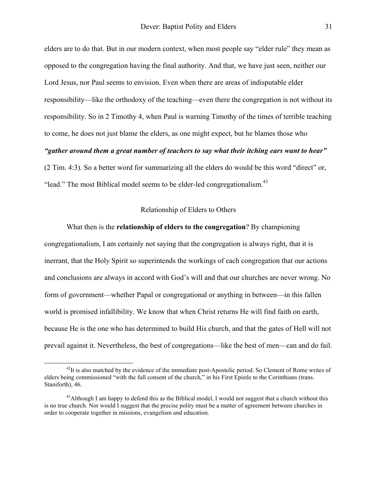elders are to do that. But in our modern context, when most people say "elder rule" they mean as opposed to the congregation having the final authority. And that, we have just seen, neither our Lord Jesus, nor Paul seems to envision. Even when there are areas of indisputable elder responsibility—like the orthodoxy of the teaching—even there the congregation is not without its responsibility. So in 2 Timothy 4, when Paul is warning Timothy of the times of terrible teaching to come, he does not just blame the elders, as one might expect, but he blames those who *"gather around them a great number of teachers to say what their itching ears want to hear"* (2 Tim. 4:3). So a better word for summarizing all the elders do would be this word "direct" or,

"lead." The most Biblical model seems to be elder-led congregationalism.<sup>43</sup>

# Relationship of Elders to Others

 What then is the **relationship of elders to the congregation**? By championing congregationalism, I am certainly not saying that the congregation is always right, that it is inerrant, that the Holy Spirit so superintends the workings of each congregation that our actions and conclusions are always in accord with God's will and that our churches are never wrong. No form of government—whether Papal or congregational or anything in between—in this fallen world is promised infallibility. We know that when Christ returns He will find faith on earth, because He is the one who has determined to build His church, and that the gates of Hell will not prevail against it. Nevertheless, the best of congregations—like the best of men—can and do fail.

 $^{42}$ It is also matched by the evidence of the immediate post-Apostolic period. So Clement of Rome writes of elders being commissioned "with the full consent of the church," in his First Epistle to the Corinthians (trans. Staniforth), 46.

<span id="page-26-0"></span> $^{43}$ Although I am happy to defend this as the Biblical model, I would not suggest that a church without this is no true church. Nor would I suggest that the precise polity must be a matter of agreement between churches in order to cooperate together in missions, evangelism and education.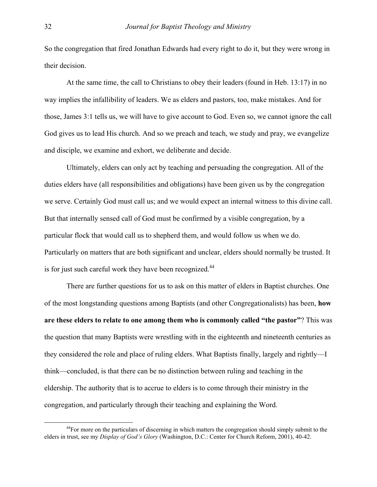So the congregation that fired Jonathan Edwards had every right to do it, but they were wrong in their decision.

 At the same time, the call to Christians to obey their leaders (found in Heb. 13:17) in no way implies the infallibility of leaders. We as elders and pastors, too, make mistakes. And for those, James 3:1 tells us, we will have to give account to God. Even so, we cannot ignore the call God gives us to lead His church. And so we preach and teach, we study and pray, we evangelize and disciple, we examine and exhort, we deliberate and decide.

 Ultimately, elders can only act by teaching and persuading the congregation. All of the duties elders have (all responsibilities and obligations) have been given us by the congregation we serve. Certainly God must call us; and we would expect an internal witness to this divine call. But that internally sensed call of God must be confirmed by a visible congregation, by a particular flock that would call us to shepherd them, and would follow us when we do. Particularly on matters that are both significant and unclear, elders should normally be trusted. It is for just such careful work they have been recognized.<sup>44</sup>

 There are further questions for us to ask on this matter of elders in Baptist churches. One of the most longstanding questions among Baptists (and other Congregationalists) has been, **how are these elders to relate to one among them who is commonly called "the pastor"**? This was the question that many Baptists were wrestling with in the eighteenth and nineteenth centuries as they considered the role and place of ruling elders. What Baptists finally, largely and rightly—I think—concluded, is that there can be no distinction between ruling and teaching in the eldership. The authority that is to accrue to elders is to come through their ministry in the congregation, and particularly through their teaching and explaining the Word.

<span id="page-27-0"></span> $^{44}$ For more on the particulars of discerning in which matters the congregation should simply submit to the elders in trust, see my *Display of God's Glory* (Washington, D.C.: Center for Church Reform, 2001), 40-42.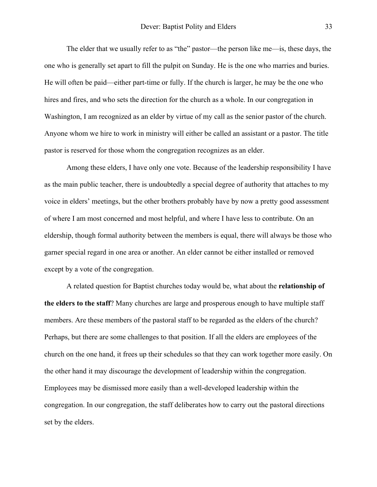The elder that we usually refer to as "the" pastor—the person like me—is, these days, the one who is generally set apart to fill the pulpit on Sunday. He is the one who marries and buries. He will often be paid—either part-time or fully. If the church is larger, he may be the one who hires and fires, and who sets the direction for the church as a whole. In our congregation in Washington, I am recognized as an elder by virtue of my call as the senior pastor of the church. Anyone whom we hire to work in ministry will either be called an assistant or a pastor. The title pastor is reserved for those whom the congregation recognizes as an elder.

 Among these elders, I have only one vote. Because of the leadership responsibility I have as the main public teacher, there is undoubtedly a special degree of authority that attaches to my voice in elders' meetings, but the other brothers probably have by now a pretty good assessment of where I am most concerned and most helpful, and where I have less to contribute. On an eldership, though formal authority between the members is equal, there will always be those who garner special regard in one area or another. An elder cannot be either installed or removed except by a vote of the congregation.

 A related question for Baptist churches today would be, what about the **relationship of the elders to the staff**? Many churches are large and prosperous enough to have multiple staff members. Are these members of the pastoral staff to be regarded as the elders of the church? Perhaps, but there are some challenges to that position. If all the elders are employees of the church on the one hand, it frees up their schedules so that they can work together more easily. On the other hand it may discourage the development of leadership within the congregation. Employees may be dismissed more easily than a well-developed leadership within the congregation. In our congregation, the staff deliberates how to carry out the pastoral directions set by the elders.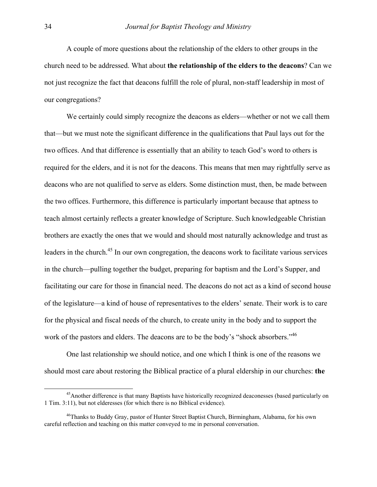A couple of more questions about the relationship of the elders to other groups in the church need to be addressed. What about **the relationship of the elders to the deacons**? Can we not just recognize the fact that deacons fulfill the role of plural, non-staff leadership in most of our congregations?

 We certainly could simply recognize the deacons as elders—whether or not we call them that—but we must note the significant difference in the qualifications that Paul lays out for the two offices. And that difference is essentially that an ability to teach God's word to others is required for the elders, and it is not for the deacons. This means that men may rightfully serve as deacons who are not qualified to serve as elders. Some distinction must, then, be made between the two offices. Furthermore, this difference is particularly important because that aptness to teach almost certainly reflects a greater knowledge of Scripture. Such knowledgeable Christian brothers are exactly the ones that we would and should most naturally acknowledge and trust as leaders in the church.<sup>45</sup> In our own congregation, the deacons work to facilitate various services in the church—pulling together the budget, preparing for baptism and the Lord's Supper, and facilitating our care for those in financial need. The deacons do not act as a kind of second house of the legislature—a kind of house of representatives to the elders' senate. Their work is to care for the physical and fiscal needs of the church, to create unity in the body and to support the work of the pastors and elders. The deacons are to be the body's "shock absorbers."<sup>46</sup>

 One last relationship we should notice, and one which I think is one of the reasons we should most care about restoring the Biblical practice of a plural eldership in our churches: **the** 

<span id="page-29-0"></span><sup>&</sup>lt;sup>45</sup>Another difference is that many Baptists have historically recognized deaconesses (based particularly on 1 Tim. 3:11), but not elderesses (for which there is no Biblical evidence).

<span id="page-29-1"></span><sup>46</sup>Thanks to Buddy Gray, pastor of Hunter Street Baptist Church, Birmingham, Alabama, for his own careful reflection and teaching on this matter conveyed to me in personal conversation.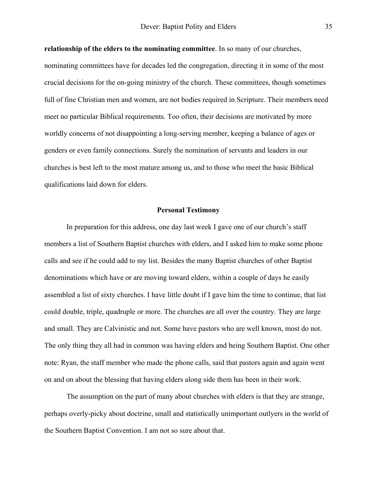**relationship of the elders to the nominating committee**. In so many of our churches, nominating committees have for decades led the congregation, directing it in some of the most crucial decisions for the on-going ministry of the church. These committees, though sometimes full of fine Christian men and women, are not bodies required in Scripture. Their members need meet no particular Biblical requirements. Too often, their decisions are motivated by more worldly concerns of not disappointing a long-serving member, keeping a balance of ages or genders or even family connections. Surely the nomination of servants and leaders in our churches is best left to the most mature among us, and to those who meet the basic Biblical qualifications laid down for elders.

### **Personal Testimony**

 In preparation for this address, one day last week I gave one of our church's staff members a list of Southern Baptist churches with elders, and I asked him to make some phone calls and see if he could add to my list. Besides the many Baptist churches of other Baptist denominations which have or are moving toward elders, within a couple of days he easily assembled a list of sixty churches. I have little doubt if I gave him the time to continue, that list could double, triple, quadruple or more. The churches are all over the country. They are large and small. They are Calvinistic and not. Some have pastors who are well known, most do not. The only thing they all had in common was having elders and being Southern Baptist. One other note: Ryan, the staff member who made the phone calls, said that pastors again and again went on and on about the blessing that having elders along side them has been in their work.

 The assumption on the part of many about churches with elders is that they are strange, perhaps overly-picky about doctrine, small and statistically unimportant outlyers in the world of the Southern Baptist Convention. I am not so sure about that.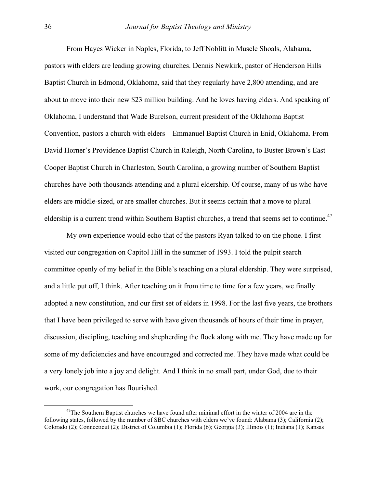From Hayes Wicker in Naples, Florida, to Jeff Noblitt in Muscle Shoals, Alabama, pastors with elders are leading growing churches. Dennis Newkirk, pastor of Henderson Hills Baptist Church in Edmond, Oklahoma, said that they regularly have 2,800 attending, and are about to move into their new \$23 million building. And he loves having elders. And speaking of Oklahoma, I understand that Wade Burelson, current president of the Oklahoma Baptist Convention, pastors a church with elders—Emmanuel Baptist Church in Enid, Oklahoma. From David Horner's Providence Baptist Church in Raleigh, North Carolina, to Buster Brown's East Cooper Baptist Church in Charleston, South Carolina, a growing number of Southern Baptist churches have both thousands attending and a plural eldership. Of course, many of us who have elders are middle-sized, or are smaller churches. But it seems certain that a move to plural eldership is a current trend within Southern Baptist churches, a trend that seems set to continue.<sup>[47](#page-31-0)</sup>

 My own experience would echo that of the pastors Ryan talked to on the phone. I first visited our congregation on Capitol Hill in the summer of 1993. I told the pulpit search committee openly of my belief in the Bible's teaching on a plural eldership. They were surprised, and a little put off, I think. After teaching on it from time to time for a few years, we finally adopted a new constitution, and our first set of elders in 1998. For the last five years, the brothers that I have been privileged to serve with have given thousands of hours of their time in prayer, discussion, discipling, teaching and shepherding the flock along with me. They have made up for some of my deficiencies and have encouraged and corrected me. They have made what could be a very lonely job into a joy and delight. And I think in no small part, under God, due to their work, our congregation has flourished.

<span id="page-31-0"></span> $47$ The Southern Baptist churches we have found after minimal effort in the winter of 2004 are in the following states, followed by the number of SBC churches with elders we've found: Alabama (3); California (2); Colorado (2); Connecticut (2); District of Columbia (1); Florida (6); Georgia (3); Illinois (1); Indiana (1); Kansas